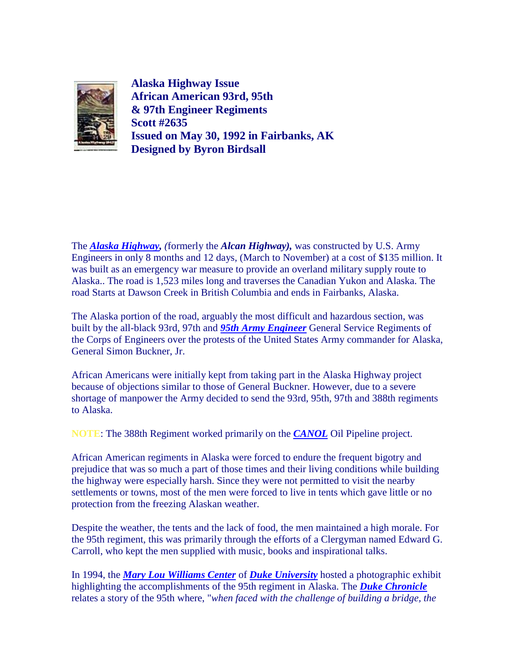

**Alaska Highway Issue African American 93rd, 95th & 97th Engineer Regiments Scott #2635 Issued on May 30, 1992 in Fairbanks, AK Designed by Byron Birdsall**

The *[Alaska Highway,](http://home.ntelos.net/~write/alcanhwy.html) (*formerly the *Alcan Highway),* was constructed by U.S. Army Engineers in only 8 months and 12 days, (March to November) at a cost of \$135 million. It was built as an emergency war measure to provide an overland military supply route to Alaska.. The road is 1,523 miles long and traverses the Canadian Yukon and Alaska. The road Starts at Dawson Creek in British Columbia and ends in Fairbanks, Alaska.

The Alaska portion of the road, arguably the most difficult and hazardous section, was built by the all-black 93rd, 97th and *[95th Army Engineer](http://www.visi.com/~alcan/)* General Service Regiments of the Corps of Engineers over the protests of the United States Army commander for Alaska, General Simon Buckner, Jr.

African Americans were initially kept from taking part in the Alaska Highway project because of objections similar to those of General Buckner. However, due to a severe shortage of manpower the Army decided to send the 93rd, 95th, 97th and 388th regiments to Alaska.

**NOTE**: The 388th Regiment worked primarily on the *[CANOL](http://www.mendonet.com/588th/canol.htm)* Oil Pipeline project.

African American regiments in Alaska were forced to endure the frequent bigotry and prejudice that was so much a part of those times and their living conditions while building the highway were especially harsh. Since they were not permitted to visit the nearby settlements or towns, most of the men were forced to live in tents which gave little or no protection from the freezing Alaskan weather.

Despite the weather, the tents and the lack of food, the men maintained a high morale. For the 95th regiment, this was primarily through the efforts of a Clergyman named Edward G. Carroll, who kept the men supplied with music, books and inspirational talks.

In 1994, the *[Mary Lou Williams Center](http://mlw.studentaffairs.duke.edu/)* of *[Duke University](http://www.duke.edu/)* hosted a photographic exhibit highlighting the accomplishments of the 95th regiment in Alaska. The *[Duke Chronicle](http://archives.chronicle.duke.edu/)* relates a story of the 95th where, "*when faced with the challenge of building a bridge, the*